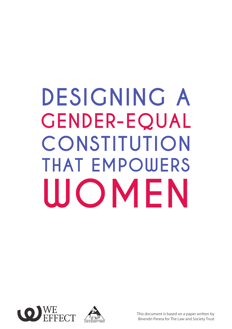# **DESIGNING A GENDER-EQUAL CONSTITUTION THAT EMPOWERS WOMEN**





This document is based on a paper written by Binendri Perera for The Law and Society Trust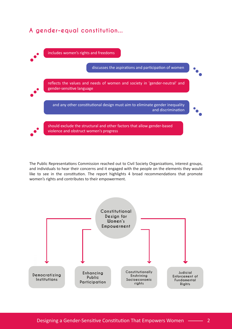

The Public Representations Commission reached out to Civil Society Organizations, interest groups, and individuals to hear their concerns and it engaged with the people on the elements they would like to see in the constitution. The report highlights 4 broad recommendations that promote women's rights and contributes to their empowerment.

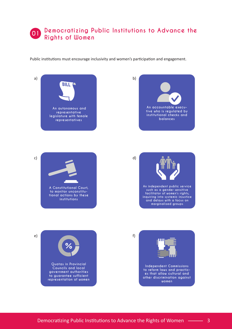#### **Democratizing Public Institutions to Advance the Rights of Women 01**

Public institutions must encourage inclusivity and women's participation and engagement.

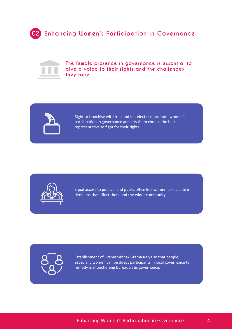



**The female presence in governance is essential to give a voice to their rights and the challenges they face**



Right to franchise with free and fair elections promote women's participation in governance and lets them choose the best representative to fight for their rights.



Equal access to political and public office lets women participate in decisions that affect them and the wider community.

Establishment of Grama Sabha/ Grama Rajya so that people, especially women can be direct participants in local governance to remedy malfunctioning bureaucratic governance.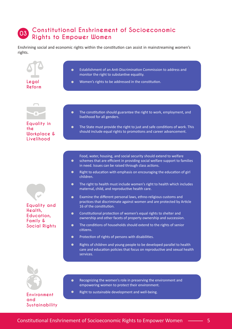#### **Constitutional Enshrinement of Socioeconomic Rights to Empower Women 03**

Enshrining social and economic rights within the constitution can assist in mainstreaming women's rights.

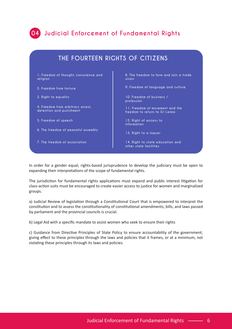

### **04 Judicial Enforcement of Fundamental Rights**

| THE FOURTEEN RIGHTS OF CITIZENS                               |                                                                   |
|---------------------------------------------------------------|-------------------------------------------------------------------|
| 1. Freedom of thought, conscience and<br>religion             | 8. The freedom to form and join a trade<br>union                  |
| 2. Freedom from torture                                       | 9. Freedom of language and culture                                |
| 3. Right to equality                                          | 10. Freedom of business /<br>profession                           |
| 4. Freedom from arbitrary arrest,<br>detention and punishment | 11. Freedom of movement and the<br>freedom to return to Sri Lanka |
| 5. Freedom of speech                                          | 12. Right of access to<br>information                             |
| 6. The freedom of peaceful assembly                           | 13. Right to a lawyer                                             |
| 7. The freedom of association                                 | 14. Right to state education and<br>other state facilities        |

In order for a gender equal, rights-based jurisprudence to develop the judiciary must be open to expanding their interpretations of the scope of fundamental rights.

The jurisdiction for fundamental rights applications must expand and public interest litigation for class-action suits must be encouraged to create easier access to justice for women and marginalized groups.

a) Judicial Review of legislation through a Constitutional Court that is empowered to interpret the constitution and to assess the constitutionality of constitutional amendments, bills, and laws passed by parliament and the provincial councils is crucial.

b) Legal Aid with a specific mandate to assist women who seek to ensure their rights

c) Guidance from Directive Principles of State Policy to ensure accountability of the government; giving effect to these principles through the laws and policies that it frames, or at a minimum, not violating these principles through its laws and policies.